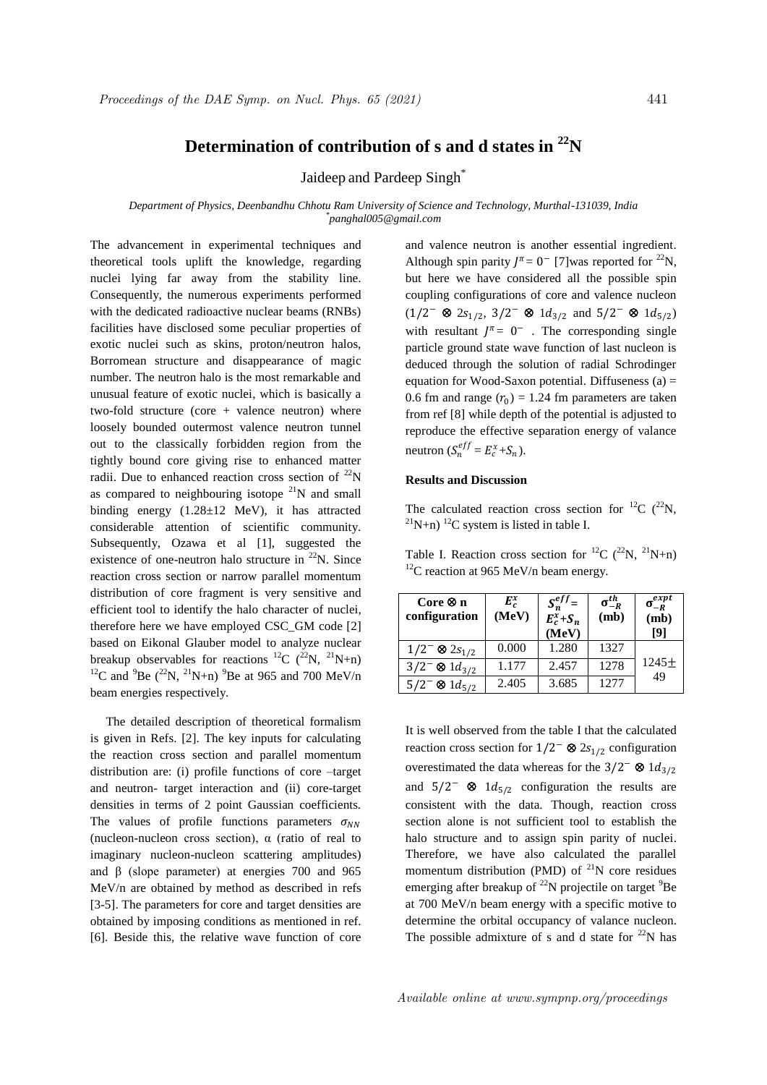## **Determination of contribution of s and d states in <sup>22</sup>N**

Jaideep and Pardeep Singh\*

*Department of Physics, Deenbandhu Chhotu Ram University of Science and Technology, Murthal-131039, India \* panghal005@gmail.com*

The advancement in experimental techniques and theoretical tools uplift the knowledge, regarding nuclei lying far away from the stability line. Consequently, the numerous experiments performed with the dedicated radioactive nuclear beams (RNBs) facilities have disclosed some peculiar properties of exotic nuclei such as skins, proton/neutron halos, Borromean structure and disappearance of magic number. The neutron halo is the most remarkable and unusual feature of exotic nuclei, which is basically a two-fold structure (core + valence neutron) where loosely bounded outermost valence neutron tunnel out to the classically forbidden region from the tightly bound core giving rise to enhanced matter radii. Due to enhanced reaction cross section of  $^{22}N$ as compared to neighbouring isotope  $^{21}N$  and small binding energy (1.28±12 MeV), it has attracted considerable attention of scientific community. Subsequently, Ozawa et al [1], suggested the existence of one-neutron halo structure in  $^{22}$ N. Since reaction cross section or narrow parallel momentum distribution of core fragment is very sensitive and efficient tool to identify the halo character of nuclei, therefore here we have employed CSC\_GM code [2] based on Eikonal Glauber model to analyze nuclear breakup observables for reactions <sup>12</sup>C (<sup>22</sup>N, <sup>21</sup>N+n) <sup>12</sup>C and <sup>9</sup>Be (<sup>22</sup>N, <sup>21</sup>N+n) <sup>9</sup>Be at 965 and 700 MeV/n beam energies respectively.

 The detailed description of theoretical formalism is given in Refs. [2]. The key inputs for calculating the reaction cross section and parallel momentum distribution are: (i) profile functions of core –target and neutron- target interaction and (ii) core-target densities in terms of 2 point Gaussian coefficients. The values of profile functions parameters  $\sigma_{NN}$ (nucleon-nucleon cross section),  $\alpha$  (ratio of real to imaginary nucleon-nucleon scattering amplitudes) and β (slope parameter) at energies 700 and 965 MeV/n are obtained by method as described in refs [3-5]. The parameters for core and target densities are obtained by imposing conditions as mentioned in ref. [6]. Beside this, the relative wave function of core

and valence neutron is another essential ingredient. Although spin parity  $J^{\pi} = 0^-$  [7] was reported for <sup>22</sup>N, but here we have considered all the possible spin coupling configurations of core and valence nucleon  $(1/2^-$  ⊗  $2s_{1/2}$ ,  $3/2^-$  ⊗  $1d_{3/2}$  and  $5/2^-$  ⊗  $1d_{5/2}$ ) with resultant  $J^{\pi} = 0^-$ . The corresponding single particle ground state wave function of last nucleon is deduced through the solution of radial Schrodinger equation for Wood-Saxon potential. Diffuseness  $(a)$  = 0.6 fm and range  $(r_0) = 1.24$  fm parameters are taken from ref [8] while depth of the potential is adjusted to reproduce the effective separation energy of valance neutron  $(S_n^{eff} = E_c^x + S_n)$ .

## **Results and Discussion**

The calculated reaction cross section for <sup>12</sup>C (<sup>22</sup>N,  $^{21}N+n$ ) <sup>12</sup>C system is listed in table I.

Table I. Reaction cross section for <sup>12</sup>C (<sup>22</sup>N, <sup>21</sup>N+n)  $12^{\circ}$ C reaction at 965 MeV/n beam energy.

| $Core \otimes n$<br>configuration | $E_c^x$<br>(MeV) | $S_n^{eff}$ =<br>$E_c^x+S_n$<br>(MeV) | $\sigma_{-R}^{th}$<br>(mb) | $\sigma_{-R}^{expt}$<br>(mb)<br>[9] |
|-----------------------------------|------------------|---------------------------------------|----------------------------|-------------------------------------|
| $1/2^- \otimes 2s_{1/2}$          | 0.000            | 1.280                                 | 1327                       |                                     |
| $3/2^- \otimes 1d_{3/2}$          | 1.177            | 2.457                                 | 1278                       | $1245 +$                            |
| $5/2^- \otimes 1d_{5/2}$          | 2.405            | 3.685                                 | 1277                       | 49                                  |

It is well observed from the table I that the calculated reaction cross section for  $1/2^- \otimes 2s_{1/2}$  configuration overestimated the data whereas for the  $3/2^-$  ⊗  $1d_{3/2}$ and  $5/2^ \otimes$   $1d_{5/2}$  configuration the results are consistent with the data. Though, reaction cross section alone is not sufficient tool to establish the halo structure and to assign spin parity of nuclei. Therefore, we have also calculated the parallel momentum distribution (PMD) of  $^{21}N$  core residues emerging after breakup of  $^{22}N$  projectile on target  $^{9}Be$ at 700 MeV/n beam energy with a specific motive to determine the orbital occupancy of valance nucleon. The possible admixture of s and d state for  $22$ N has